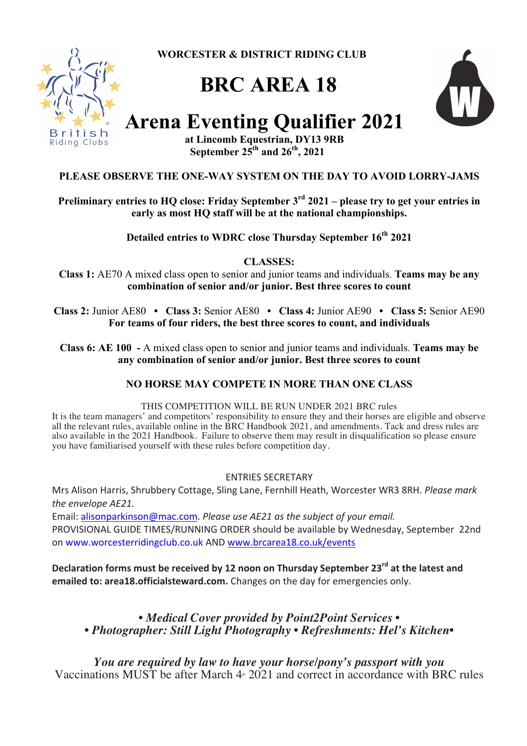**WORCESTER & DISTRICT RIDING CLUB**



# **BRC AREA 18**



# **Arena Eventing Qualifier 2021**

**at Lincomb Equestrian, DY13 9RB September**  $25<sup>th</sup>$  **and**  $26<sup>th</sup>$ **, 2021** 

# **PLEASE OBSERVE THE ONE-WAY SYSTEM ON THE DAY TO AVOID LORRY-JAMS**

**Preliminary entries to HQ close: Friday September 3rd 2021 – please try to get your entries in early as most HQ staff will be at the national championships.**

Detailed entries to WDRC close Thursday September  $16<sup>th</sup> 2021$ 

**CLASSES:**

**Class 1:** AE70 A mixed class open to senior and junior teams and individuals. **Teams may be any combination of senior and/or junior. Best three scores to count**

**Class 2:** Junior AE80 **• Class 3:** Senior AE80 **• Class 4:** Junior AE90 **• Class 5:** Senior AE90 **For teams of four riders, the best three scores to count, and individuals**

**Class 6: AE 100 -** A mixed class open to senior and junior teams and individuals. **Teams may be any combination of senior and/or junior. Best three scores to count**

# **NO HORSE MAY COMPETE IN MORE THAN ONE CLASS**

# THIS COMPETITION WILL BE RUN UNDER 2021 BRC rules

It is the team managers' and competitors' responsibility to ensure they and their horses are eligible and observe all the relevant rules, available online in the BRC Handbook 2021, and amendments. Tack and dress rules are also available in the 2021 Handbook. Failure to observe them may result in disqualification so please ensure you have familiarised yourself with these rules before competition day.

# ENTRIES SECRETARY

Mrs Alison Harris, Shrubbery Cottage, Sling Lane, Fernhill Heath, Worcester WR3 8RH. *Please mark* the envelope AE21.

Email: alisonparkinson@mac.com. *Please use AE21* as the subject of your email. PROVISIONAL GUIDE TIMES/RUNNING ORDER should be available by Wednesday, September 22nd on www.worcesterridingclub.co.uk AND www.brcarea18.co.uk/events

**Declaration forms must be received by 12 noon on Thursday September 23<sup>rd</sup> at the latest and emailed to: area18.officialsteward.com.** Changes on the day for emergencies only.

*• Medical Cover provided by Point2Point Services • • Photographer: Still Light Photography • Refreshments: Hel's Kitchen•*

*You are required by law to have your horse/pony's passport with you* Vaccinations MUST be after March  $4*2021$  and correct in accordance with BRC rules